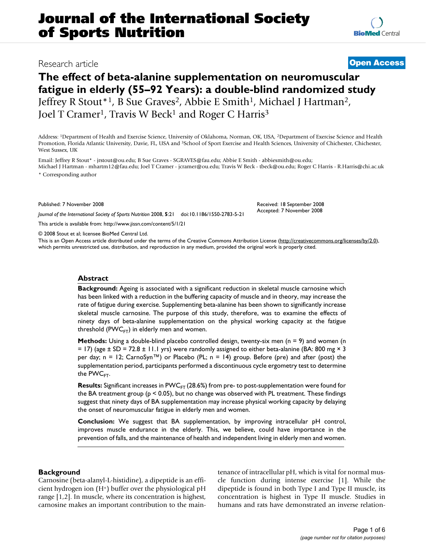# **The effect of beta-alanine supplementation on neuromuscular fatigue in elderly (55–92 Years): a double-blind randomized study** Jeffrey R Stout<sup>\*1</sup>, B Sue Graves<sup>2</sup>, Abbie E Smith<sup>1</sup>, Michael J Hartman<sup>2</sup>, Joel T Cramer<sup>1</sup>, Travis W Beck<sup>1</sup> and Roger C Harris<sup>3</sup>

Address: 1Department of Health and Exercise Science, University of Oklahoma, Norman, OK, USA, 2Department of Exercise Science and Health Promotion, Florida Atlantic University, Davie, FL, USA and <sup>3</sup>School of Sport Exercise and Health Sciences, University of Chichester, Chichester, West Sussex, UK

Email: Jeffrey R Stout\* - jrstout@ou.edu; B Sue Graves - SGRAVES@fau.edu; Abbie E Smith - abbiesmith@ou.edu; Michael J Hartman - mhartm12@fau.edu; Joel T Cramer - jcramer@ou.edu; Travis W Beck - tbeck@ou.edu; Roger C Harris - R.Harris@chi.ac.uk \* Corresponding author

Published: 7 November 2008

*Journal of the International Society of Sports Nutrition* 2008, **5**:21 doi:10.1186/1550-2783-5-21

[This article is available from: http://www.jissn.com/content/5/1/21](http://www.jissn.com/content/5/1/21)

© 2008 Stout et al; licensee BioMed Central Ltd.

This is an Open Access article distributed under the terms of the Creative Commons Attribution License [\(http://creativecommons.org/licenses/by/2.0\)](http://creativecommons.org/licenses/by/2.0), which permits unrestricted use, distribution, and reproduction in any medium, provided the original work is properly cited.

#### **Abstract**

**Background:** Ageing is associated with a significant reduction in skeletal muscle carnosine which has been linked with a reduction in the buffering capacity of muscle and in theory, may increase the rate of fatigue during exercise. Supplementing beta-alanine has been shown to significantly increase skeletal muscle carnosine. The purpose of this study, therefore, was to examine the effects of ninety days of beta-alanine supplementation on the physical working capacity at the fatigue threshold ( $PWC_{FT}$ ) in elderly men and women.

**Methods:** Using a double-blind placebo controlled design, twenty-six men (n = 9) and women (n  $=$  17) (age  $\pm$  SD = 72.8  $\pm$  11.1 yrs) were randomly assigned to either beta-alanine (BA: 800 mg  $\times$  3 per day; n = 12; CarnoSyn<sup>™</sup>) or Placebo (PL; n = 14) group. Before (pre) and after (post) the supplementation period, participants performed a discontinuous cycle ergometry test to determine the  $PWC$ <sub>ET</sub>.

**Results:** Significant increases in PWC<sub>FT</sub> (28.6%) from pre- to post-supplementation were found for the BA treatment group ( $p < 0.05$ ), but no change was observed with PL treatment. These findings suggest that ninety days of BA supplementation may increase physical working capacity by delaying the onset of neuromuscular fatigue in elderly men and women.

**Conclusion:** We suggest that BA supplementation, by improving intracellular pH control, improves muscle endurance in the elderly. This, we believe, could have importance in the prevention of falls, and the maintenance of health and independent living in elderly men and women.

### **Background**

Carnosine (beta-alanyl-L-histidine), a dipeptide is an efficient hydrogen ion (H+) buffer over the physiological pH range [1,2]. In muscle, where its concentration is highest, carnosine makes an important contribution to the maintenance of intracellular pH, which is vital for normal muscle function during intense exercise [1]. While the dipeptide is found in both Type I and Type II muscle, its concentration is highest in Type II muscle. Studies in humans and rats have demonstrated an inverse relation-

# Research article **[Open Access](http://www.biomedcentral.com/info/about/charter/)**

Received: 18 September 2008 Accepted: 7 November 2008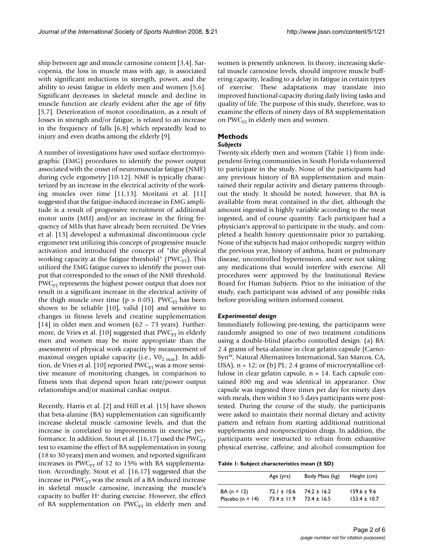ship between age and muscle carnosine content [3,4]. Sarcopenia, the loss in muscle mass with age, is associated with significant reductions in strength, power, and the ability to resist fatigue in elderly men and women [5,6]. Significant decreases in skeletal muscle and decline in muscle function are clearly evident after the age of fifty [5,7]. Deterioration of motor coordination, as a result of losses in strength and/or fatigue, is related to an increase in the frequency of falls [6,8] which repeatedly lead to injury and even deaths among the elderly [9].

A number of investigations have used surface electromyographic (EMG) procedures to identify the power output associated with the onset of neuromuscular fatigue (NMF) during cycle ergometry [10-12]. NMF is typically characterized by an increase in the electrical activity of the working muscles over time [11,13]. Moritani et al. [11] suggested that the fatigue-induced increase in EMG amplitude is a result of progressive recruitment of additional motor units (MU) and/or an increase in the firing frequency of MUs that have already been recruited. De Vries et al. [13] developed a submaximal discontinuous cycle ergometer test utilizing this concept of progressive muscle activation and introduced the concept of "the physical working capacity at the fatigue threshold" ( $PWC_{FT}$ ). This utilized the EMG fatigue curves to identify the power output that corresponded to the onset of the NMF threshold.  $PWC_{ET}$  represents the highest power output that does not result in a significant increase in the electrical activity of the thigh muscle over time ( $p > 0.05$ ). PWC<sub>FT</sub> has been shown to be reliable [10], valid [10] and sensitive to changes in fitness levels and creatine supplementation [14] in older men and women (62 – 73 years). Furthermore, de Vries et al. [10] suggested that  $PWC_{FT}$  in elderly men and women may be more appropriate than the assessment of physical work capacity by measurement of maximal oxygen uptake capacity (i.e.,  $\text{VO}_2$ <sub>max</sub>). In addition, de Vries et al. [10] reported  $PWC_{FT}$  was a more sensitive measure of monitoring changes, in comparison to fitness tests that depend upon heart rate/power output relationships and/or maximal cardiac output.

Recently, Harris et al. [2] and Hill et al. [15] have shown that beta-alanine (BA) supplementation can significantly increase skeletal muscle carnosine levels, and that the increase is correlated to improvements in exercise performance. In addition, Stout et al. [16,17] used the PWC $_{\text{FT}}$ test to examine the effect of BA supplementation in young (18 to 30 years) men and women, and reported significant increases in PWC $_{\text{FT}}$  of 12 to 15% with BA supplementation. Accordingly, Stout et al. [16,17] suggested that the increase in  $PWC_{FT}$  was the result of a BA induced increase in skeletal muscle carnosine, increasing the muscle's capacity to buffer H+ during exercise. However, the effect of BA supplementation on PWC $_{\text{FT}}$  in elderly men and

women is presently unknown. In theory, increasing skeletal muscle carnosine levels, should improve muscle buffering capacity, leading to a delay in fatigue in certain types of exercise. These adaptations may translate into improved functional capacity during daily living tasks and quality of life. The purpose of this study, therefore, was to examine the effects of ninety days of BA supplementation on PW $C_{\text{ET}}$  in elderly men and women.

## **Methods**

#### *Subjects*

Twenty-six elderly men and women (Table 1) from independent-living communities in South Florida volunteered to participate in the study. None of the participants had any previous history of BA supplementation and maintained their regular activity and dietary patterns throughout the study. It should be noted; however, that BA is available from meat contained in the diet, although the amount ingested is highly variable according to the meat ingested, and of course quantity. Each participant had a physician's approval to participate in the study, and completed a health history questionnaire prior to partaking. None of the subjects had major orthopedic surgery within the previous year, history of asthma, heart or pulmonary disease, uncontrolled hypertension, and were not taking any medications that would interfere with exercise. All procedures were approved by the Institutional Review Board for Human Subjects. Prior to the initiation of the study, each participant was advised of any possible risks before providing written informed consent.

#### *Experimental design*

Immediately following pre-testing, the participants were randomly assigned to one of two treatment conditions using a double-blind placebo controlled design: (a) BA: 2.4 grams of beta-alanine in clear gelatin capsule (Carno-Syn™, Natural Alternatives International, San Marcos, CA, USA),  $n = 12$ ; or (b) PL: 2.4 grams of microcrystalline cellulose in clear gelatin capsule, n = 14. Each capsule contained 800 mg and was identical in appearance. One capsule was ingested three times per day for ninety days with meals, then within 3 to 5 days participants were posttested. During the course of the study, the participants were asked to maintain their normal dietary and activity pattern and refrain from starting additional nutritional supplements and nonprescription drugs. In addition, the participants were instructed to refrain from exhaustive physical exercise, caffeine, and alcohol consumption for

**Table 1: Subject characteristics mean (± SD)**

|                     | Age (yrs)       | Body Mass (kg)  | Height (cm)      |
|---------------------|-----------------|-----------------|------------------|
| $BA (n = 12)$       | $72.1 \pm 10.6$ | $74.2 + 16.2$   | $159.6 \pm 9.6$  |
| Placebo (n = $14$ ) | $73.4 \pm 11.9$ | $73.4 \pm 16.5$ | $153.4 \pm 10.7$ |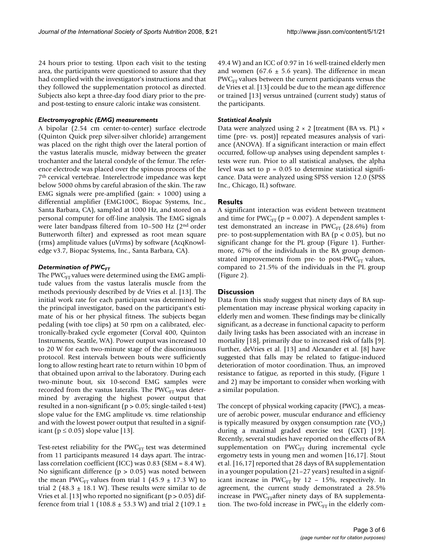24 hours prior to testing. Upon each visit to the testing area, the participants were questioned to assure that they had complied with the investigator's instructions and that they followed the supplementation protocol as directed. Subjects also kept a three-day food diary prior to the preand post-testing to ensure caloric intake was consistent.

#### *Electromyographic (EMG) measurements*

A bipolar (2.54 cm center-to-center) surface electrode (Quinton Quick prep silver-silver chloride) arrangement was placed on the right thigh over the lateral portion of the vastus lateralis muscle, midway between the greater trochanter and the lateral condyle of the femur. The reference electrode was placed over the spinous process of the 7th cervical vertebrae. Interelectrode impedance was kept below 5000 ohms by careful abrasion of the skin. The raw EMG signals were pre-amplified (gain:  $\times$  1000) using a differential amplifier (EMG100C, Biopac Systems, Inc., Santa Barbara, CA), sampled at 1000 Hz, and stored on a personal computer for off-line analysis. The EMG signals were later bandpass filtered from 10–500 Hz (2nd order Butterworth filter) and expressed as root mean square (rms) amplitude values (uVrms) by software (AcqKnowledge v3.7, Biopac Systems, Inc., Santa Barbara, CA).

### **Determination of PWC<sub>FT</sub>**

The PW $C_{\text{FT}}$  values were determined using the EMG amplitude values from the vastus lateralis muscle from the methods previously described by de Vries et al. [13]. The initial work rate for each participant was determined by the principal investigator, based on the participant's estimate of his or her physical fitness. The subjects began pedaling (with toe clips) at 50 rpm on a calibrated, electronically-braked cycle ergometer (Corval 400, Quinton Instruments, Seattle, WA). Power output was increased 10 to 20 W for each two-minute stage of the discontinuous protocol. Rest intervals between bouts were sufficiently long to allow resting heart rate to return within 10 bpm of that obtained upon arrival to the laboratory. During each two-minute bout, six 10-second EMG samples were recorded from the vastus lateralis. The PWC $_{\text{FT}}$  was determined by averaging the highest power output that resulted in a non-significant (p > 0.05; single-tailed t-test) slope value for the EMG amplitude vs. time relationship and with the lowest power output that resulted in a significant ( $p \le 0.05$ ) slope value [13].

Test-retest reliability for the  $\text{PWC}_{\text{FT}}$  test was determined from 11 participants measured 14 days apart. The intraclass correlation coefficient (ICC) was 0.83 (SEM = 8.4 W). No significant difference ( $p > 0.05$ ) was noted between the mean PWC<sub>FT</sub> values from trial 1 (45.9  $\pm$  17.3 W) to trial 2 (48.3  $\pm$  18.1 W). These results were similar to de Vries et al. [13] who reported no significant ( $p > 0.05$ ) difference from trial 1 (108.8  $\pm$  53.3 W) and trial 2 (109.1  $\pm$ 

49.4 W) and an ICC of 0.97 in 16 well-trained elderly men and women (67.6  $\pm$  5.6 years). The difference in mean  $PWC_{ET}$  values between the current participants versus the de Vries et al. [13] could be due to the mean age difference or trained [13] versus untrained (current study) status of the participants.

#### *Statistical Analysis*

Data were analyzed using  $2 \times 2$  [treatment (BA vs. PL)  $\times$ time (pre- vs. post)] repeated measures analysis of variance (ANOVA). If a significant interaction or main effect occurred, follow-up analyses using dependent samples ttests were run. Prior to all statistical analyses, the alpha level was set to  $p = 0.05$  to determine statistical significance. Data were analyzed using SPSS version 12.0 (SPSS Inc., Chicago, IL) software.

### **Results**

A significant interaction was evident between treatment and time for  $PWC_{FT}$  (p = 0.007). A dependent samples ttest demonstrated an increase in  $PWC_{FT}$  (28.6%) from pre- to post-supplementation with BA ( $p < 0.05$ ), but no significant change for the PL group (Figure 1). Furthermore, 67% of the individuals in the BA group demonstrated improvements from pre- to post-PWC $_{\text{FT}}$  values, compared to 21.5% of the individuals in the PL group (Figure 2).

### **Discussion**

Data from this study suggest that ninety days of BA supplementation may increase physical working capacity in elderly men and women. These findings may be clinically significant, as a decrease in functional capacity to perform daily living tasks has been associated with an increase in mortality [18], primarily due to increased risk of falls [9]. Further, deVries et al. [13] and Alexander et al. [8] have suggested that falls may be related to fatigue-induced deterioration of motor coordination. Thus, an improved resistance to fatigue, as reported in this study, (Figure 1 and 2) may be important to consider when working with a similar population.

The concept of physical working capacity (PWC), a measure of aerobic power, muscular endurance and efficiency is typically measured by oxygen consumption rate  $(VO<sub>2</sub>)$ during a maximal graded exercise test (GXT) [19]. Recently, several studies have reported on the effects of BA supplementation on  $PWC_{ET}$  during incremental cycle ergometry tests in young men and women [16,17]. Stout et al. [16,17] reported that 28 days of BA supplementation in a younger population (21–27 years) resulted in a significant increase in PWC $_{\text{FT}}$  by 12 – 15%, respectively. In agreement, the current study demonstrated a 28.5% increase in PWC $_{ET}$ after ninety days of BA supplementation. The two-fold increase in  $PWC_{FT}$  in the elderly com-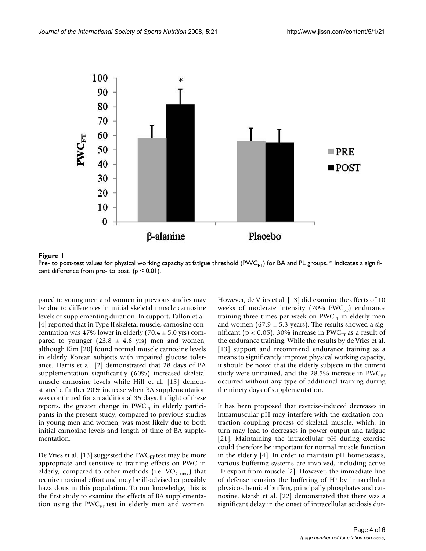

Pre- to post-test values for physical working capacity at fatigue threshold (PWC<sub>FT</sub>) for BA and PL groups. \* Indicates a significant difference from pre- to post.  $(p < 0.01)$ .

pared to young men and women in previous studies may be due to differences in initial skeletal muscle carnosine levels or supplementing duration. In support, Tallon et al. [4] reported that in Type II skeletal muscle, carnosine concentration was 47% lower in elderly (70.4  $\pm$  5.0 yrs) compared to younger  $(23.8 \pm 4.6 \text{ yrs})$  men and women, although Kim [20] found normal muscle carnosine levels in elderly Korean subjects with impaired glucose tolerance. Harris et al. [2] demonstrated that 28 days of BA supplementation significantly (60%) increased skeletal muscle carnosine levels while Hill et al. [15] demonstrated a further 20% increase when BA supplementation was continued for an additional 35 days. In light of these reports, the greater change in  $PWC_{FT}$  in elderly participants in the present study, compared to previous studies in young men and women, was most likely due to both initial carnosine levels and length of time of BA supplementation.

De Vries et al. [13] suggested the PWC $_{\text{FT}}$  test may be more appropriate and sensitive to training effects on PWC in elderly, compared to other methods (i.e.  $VO_{2 \text{ max}}$ ) that require maximal effort and may be ill-advised or possibly hazardous in this population. To our knowledge, this is the first study to examine the effects of BA supplementation using the PWC $_{\text{FT}}$  test in elderly men and women.

However, de Vries et al. [13] did examine the effects of 10 weeks of moderate intensity (70% PWC $_{\text{FT}}$ ) endurance training three times per week on  $PWC_{FT}$  in elderly men and women (67.9  $\pm$  5.3 years). The results showed a significant ( $p < 0.05$ ), 30% increase in PWC<sub>FT</sub> as a result of the endurance training. While the results by de Vries et al. [13] support and recommend endurance training as a means to significantly improve physical working capacity, it should be noted that the elderly subjects in the current study were untrained, and the  $28.5\%$  increase in PWC $_{\text{FT}}$ occurred without any type of additional training during the ninety days of supplementation.

It has been proposed that exercise-induced decreases in intramuscular pH may interfere with the excitation-contraction coupling process of skeletal muscle, which, in turn may lead to decreases in power output and fatigue [21]. Maintaining the intracellular pH during exercise could therefore be important for normal muscle function in the elderly [4]. In order to maintain pH homeostasis, various buffering systems are involved, including active H+ export from muscle [2]. However, the immediate line of defense remains the buffering of H+ by intracellular physico-chemical buffers, principally phosphates and carnosine. Marsh et al. [22] demonstrated that there was a significant delay in the onset of intracellular acidosis dur-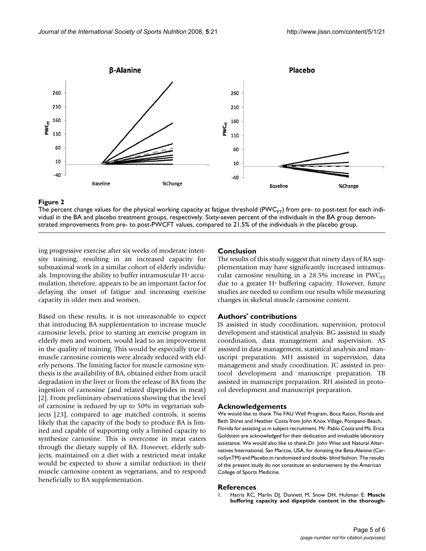

# The percent change values for the physical working capacity at fatigue threshold (PWCFT vidual in the BA and placebo treatment groups, respectively **Figure 2** ) from pre- to post-test for each indi-

The percent change values for the physical working capacity at fatigue threshold (PWC $_{F}$ ) from pre- to post-test for each individual in the BA and placebo treatment groups, respectively. Sixty-seven percent of the individuals in the BA group demonstrated improvements from pre- to post-PWCFT values, compared to 21.5% of the individuals in the placebo group.

ing progressive exercise after six weeks of moderate intensity training, resulting in an increased capacity for submaximal work in a similar cohort of elderly individuals. Improving the ability to buffer intramuscular H+ accumulation, therefore, appears to be an important factor for delaying the onset of fatigue and increasing exercise capacity in older men and women.

Based on these results, it is not unreasonable to expect that introducing BA supplementation to increase muscle carnosine levels, prior to starting an exercise program in elderly men and women, would lead to an improvement in the quality of training. This would be especially true if muscle carnosine contents were already reduced with elderly persons. The limiting factor for muscle carnosine synthesis is the availability of BA, obtained either from uracil degradation in the liver or from the release of BA from the ingestion of carnosine (and related dipeptides in meat) [2]. From preliminary observations showing that the level of carnosine is reduced by up to 50% in vegetarian subjects [23], compared to age matched controls, it seems likely that the capacity of the body to produce BA is limited and capable of supporting only a limited capacity to synthesize carnosine. This is overcome in meat eaters through the dietary supply of BA. However, elderly subjects, maintained on a diet with a restricted meat intake would be expected to show a similar reduction in their muscle carnosine content as vegetarians, and to respond beneficially to BA supplementation.

### **Conclusion**

The results of this study suggest that ninety days of BA supplementation may have significantly increased intramuscular carnosine resulting in a  $28.5\%$  increase in PWC<sub>FT</sub> due to a greater H+ buffering capacity. However, future studies are needed to confirm our results while measuring changes in skeletal muscle carnosine content.

### **Authors' contributions**

JS assisted in study coordination, supervision, protocol development and statistical analysis. BG assisted in study coordination, data management and supervision. AS assisted in data management, statistical analysis and manuscript preparation. MH assisted in supervision, data management and study coordination. JC assisted in protocol development and manuscript preparation. TB assisted in manuscript preparation. RH assisted in protocol development and manuscript preparation.

#### **Acknowledgements**

We would like to thank The FAU Well Program, Boca Raton, Florida and Beth Shires and Heather Costa from John Knox Village, Pompano Beach, Florida for assisting us in subject recruitment. Mr. Pablo Costa and Ms. Erica Goldstein are acknowledged for their dedication and invaluable laboratory assistance. We would also like to thank Dr. John Wise and Natural Alternatives International, San Marcos, USA, for donating the Beta-Alanine (CarnoSynTM) and Placebo in randomized and double- blind fashion. The results of the present study do not constitute an endorsement by the American College of Sports Medicine.

#### **References**

1. Harris RC, Marlin DJ, Dunnett M, Snow DH, Hultman E: **[Muscle](http://www.ncbi.nlm.nih.gov/entrez/query.fcgi?cmd=Retrieve&db=PubMed&dopt=Abstract&list_uids=1982938) [buffering capacity and dipeptide content in the thorough](http://www.ncbi.nlm.nih.gov/entrez/query.fcgi?cmd=Retrieve&db=PubMed&dopt=Abstract&list_uids=1982938)-**